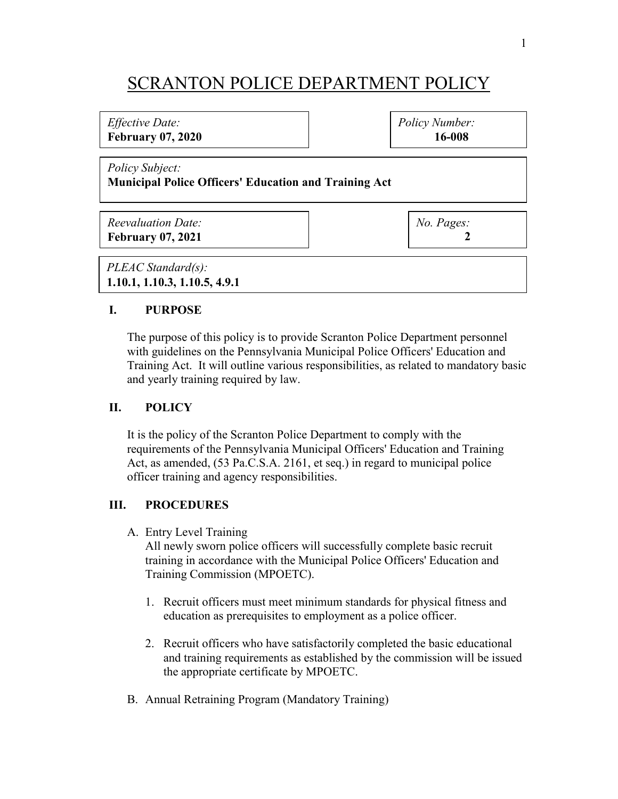# SCRANTON POLICE DEPARTMENT POLICY

## *Effective Date:*

**February 07, 2020**

*Policy Number:* **16-008**

*Policy Subject:*

### **Municipal Police Officers' Education and Training Act**

| <b>Reevaluation Date:</b> |  |
|---------------------------|--|
| <b>February 07, 2021</b>  |  |

*No. Pages:*  **2**

*PLEAC Standard(s):* **1.10.1, 1.10.3, 1.10.5, 4.9.1**

#### **I. PURPOSE**

The purpose of this policy is to provide Scranton Police Department personnel with guidelines on the Pennsylvania Municipal Police Officers' Education and Training Act. It will outline various responsibilities, as related to mandatory basic and yearly training required by law.

#### **II. POLICY**

It is the policy of the Scranton Police Department to comply with the requirements of the Pennsylvania Municipal Officers' Education and Training Act, as amended, (53 Pa.C.S.A. 2161, et seq.) in regard to municipal police officer training and agency responsibilities.

## **III. PROCEDURES**

A. Entry Level Training

All newly sworn police officers will successfully complete basic recruit training in accordance with the Municipal Police Officers' Education and Training Commission (MPOETC).

- 1. Recruit officers must meet minimum standards for physical fitness and education as prerequisites to employment as a police officer.
- 2. Recruit officers who have satisfactorily completed the basic educational and training requirements as established by the commission will be issued the appropriate certificate by MPOETC.
- B. Annual Retraining Program (Mandatory Training)